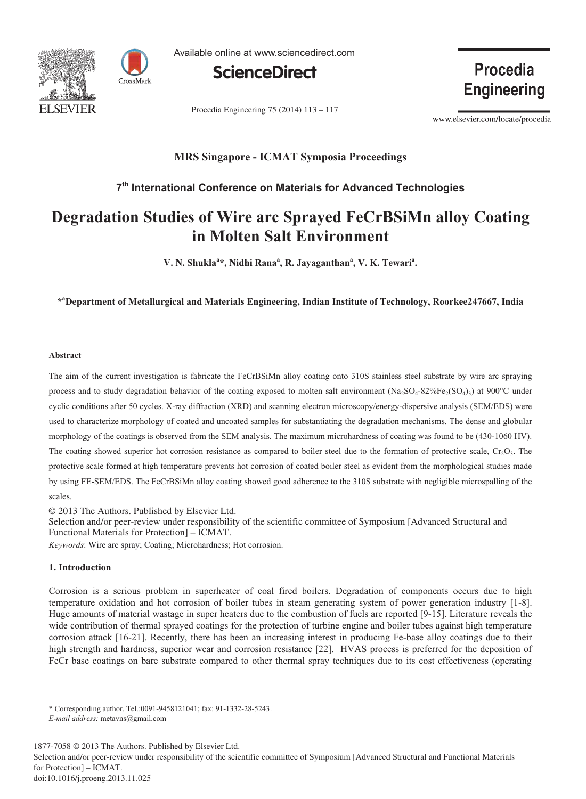



Available online at www.sciencedirect.com



Procedia Engineering 75 (2014) 113 - 117

**Procedia Engineering** 

www.elsevier.com/locate/procedia

# **MRS Singapore - ICMAT Symposia Proceedings**

# **7 th International Conference on Materials for Advanced Technologies**

# **Degradation Studies of Wire arc Sprayed FeCrBSiMn alloy Coating in Molten Salt Environment**

**V. N. Shukla<sup>a</sup> \*, Nidhi Rana<sup>a</sup> , R. Jayaganthan<sup>a</sup> , V. K. Tewari<sup>a</sup> .**

**\* <sup>a</sup>Department of Metallurgical and Materials Engineering, Indian Institute of Technology, Roorkee247667, India**

## **Abstract**

The aim of the current investigation is fabricate the FeCrBSiMn alloy coating onto 310S stainless steel substrate by wire arc spraying process and to study degradation behavior of the coating exposed to molten salt environment  $(Na_2SO_4-82\%Fe_2(SO_4)_3)$  at 900°C under cyclic conditions after 50 cycles. X-ray diffraction (XRD) and scanning electron microscopy/energy-dispersive analysis (SEM/EDS) were used to characterize morphology of coated and uncoated samples for substantiating the degradation mechanisms. The dense and globular morphology of the coatings is observed from the SEM analysis. The maximum microhardness of coating was found to be (430-1060 HV). The coating showed superior hot corrosion resistance as compared to boiler steel due to the formation of protective scale,  $Cr_2O_3$ . The protective scale formed at high temperature prevents hot corrosion of coated boiler steel as evident from the morphological studies made by using FE-SEM/EDS. The FeCrBSiMn alloy coating showed good adherence to the 310S substrate with negligible microspalling of the scales.

© 2013 The Authors. Published by Elsevier Ltd. © 2013 The Authors. Published by Elsevier Ltd.

Selection and/or peer-review under responsibility of the scientific committee of Symposium [Advanced Structural and . Functional Materials for Protection] – ICMAT.

*Keywords*: Wire arc spray; Coating; Microhardness; Hot corrosion.

# **1. Introduction**

Corrosion is a serious problem in superheater of coal fired boilers. Degradation of components occurs due to high temperature oxidation and hot corrosion of boiler tubes in steam generating system of power generation industry [1-8]. Huge amounts of material wastage in super heaters due to the combustion of fuels are reported [9-15]. Literature reveals the wide contribution of thermal sprayed coatings for the protection of turbine engine and boiler tubes against high temperature corrosion attack [16-21]. Recently, there has been an increasing interest in producing Fe-base alloy coatings due to their high strength and hardness, superior wear and corrosion resistance [22]. HVAS process is preferred for the deposition of FeCr base coatings on bare substrate compared to other thermal spray techniques due to its cost effectiveness (operating

Selection and/or peer-review under responsibility of the scientific committee of Symposium [Advanced Structural and Functional Materials for Protection] – ICMAT.

<sup>\*</sup> Corresponding author. Tel.:0091-9458121041; fax: 91-1332-28-5243.

*E-mail address:* metavns@gmail.com

<sup>1877-7058 © 2013</sup> The Authors. Published by Elsevier Ltd.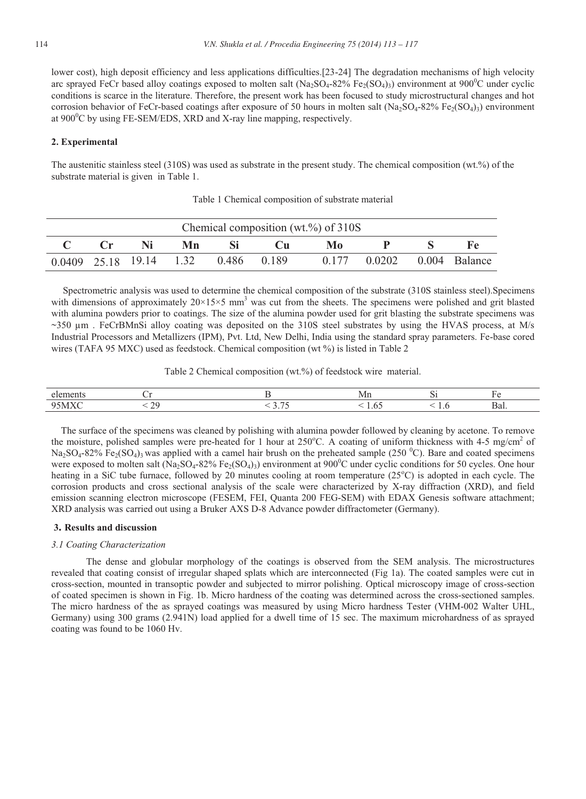lower cost), high deposit efficiency and less applications difficulties.[23-24] The degradation mechanisms of high velocity arc sprayed FeCr based alloy coatings exposed to molten salt  $(Na_2SO_4-82\%$  Fe<sub>2</sub>(SO<sub>4</sub>)<sub>3</sub>) environment at 900<sup>0</sup>C under cyclic conditions is scarce in the literature. Therefore, the present work has been focused to study microstructural changes and hot corrosion behavior of FeCr-based coatings after exposure of 50 hours in molten salt (Na<sub>2</sub>SO<sub>4</sub>-82% Fe<sub>2</sub>(SO<sub>4</sub>)<sub>3</sub>) environment at  $900^{\circ}$ C by using FE-SEM/EDS, XRD and X-ray line mapping, respectively.

## **2. Experimental**

The austenitic stainless steel (310S) was used as substrate in the present study. The chemical composition (wt.%) of the substrate material is given in Table 1.

| Chemical composition (wt.%) of $310S$ |  |    |    |                                     |              |    |                            |  |      |  |  |  |  |
|---------------------------------------|--|----|----|-------------------------------------|--------------|----|----------------------------|--|------|--|--|--|--|
|                                       |  | Ni | Mn |                                     | $\mathbf{C}$ | Mo |                            |  | - Fe |  |  |  |  |
|                                       |  |    |    | 0.0409 25.18 19.14 1.32 0.486 0.189 |              |    | 0.177 0.0202 0.004 Balance |  |      |  |  |  |  |

Table 1 Chemical composition of substrate material

Spectrometric analysis was used to determine the chemical composition of the substrate (310S stainless steel).Specimens with dimensions of approximately  $20\times15\times5$  mm<sup>3</sup> was cut from the sheets. The specimens were polished and grit blasted with alumina powders prior to coatings. The size of the alumina powder used for grit blasting the substrate specimens was  $\sim$ 350  $\mu$ m. FeCrBMnSi alloy coating was deposited on the 310S steel substrates by using the HVAS process, at M/s Industrial Processors and Metallizers (IPM), Pvt. Ltd, New Delhi, India using the standard spray parameters. Fe-base cored wires (TAFA 95 MXC) used as feedstock. Chemical composition (wt %) is listed in Table 2

Table 2 Chemical composition (wt.%) of feedstock wire material.

| -elu    |  | ,,,, |   |      |  |
|---------|--|------|---|------|--|
| O<<br>ш |  |      | . | Dal. |  |

 The surface of the specimens was cleaned by polishing with alumina powder followed by cleaning by acetone. To remove the moisture, polished samples were pre-heated for 1 hour at  $250^{\circ}$ C. A coating of uniform thickness with 4-5 mg/cm<sup>2</sup> of  $Na_2SO_4-82\%$  Fe<sub>2</sub>(SO<sub>4</sub>)<sub>3</sub> was applied with a camel hair brush on the preheated sample (250 <sup>0</sup>C). Bare and coated specimens were exposed to molten salt (Na<sub>2</sub>SO<sub>4</sub>-82% Fe<sub>2</sub>(SO<sub>4</sub>)<sub>3</sub>) environment at 900<sup>o</sup>C under cyclic conditions for 50 cycles. One hour heating in a SiC tube furnace, followed by 20 minutes cooling at room temperature (25°C) is adopted in each cycle. The corrosion products and cross sectional analysis of the scale were characterized by X-ray diffraction (XRD), and field emission scanning electron microscope (FESEM, FEI, Quanta 200 FEG-SEM) with EDAX Genesis software attachment; XRD analysis was carried out using a Bruker AXS D-8 Advance powder diffractometer (Germany).

#### **3. Results and discussion**

#### *3.1 Coating Characterization*

The dense and globular morphology of the coatings is observed from the SEM analysis. The microstructures revealed that coating consist of irregular shaped splats which are interconnected (Fig 1a). The coated samples were cut in cross-section, mounted in transoptic powder and subjected to mirror polishing. Optical microscopy image of cross-section of coated specimen is shown in Fig. 1b. Micro hardness of the coating was determined across the cross-sectioned samples. The micro hardness of the as sprayed coatings was measured by using Micro hardness Tester (VHM-002 Walter UHL, Germany) using 300 grams (2.941N) load applied for a dwell time of 15 sec. The maximum microhardness of as sprayed coating was found to be 1060 Hv.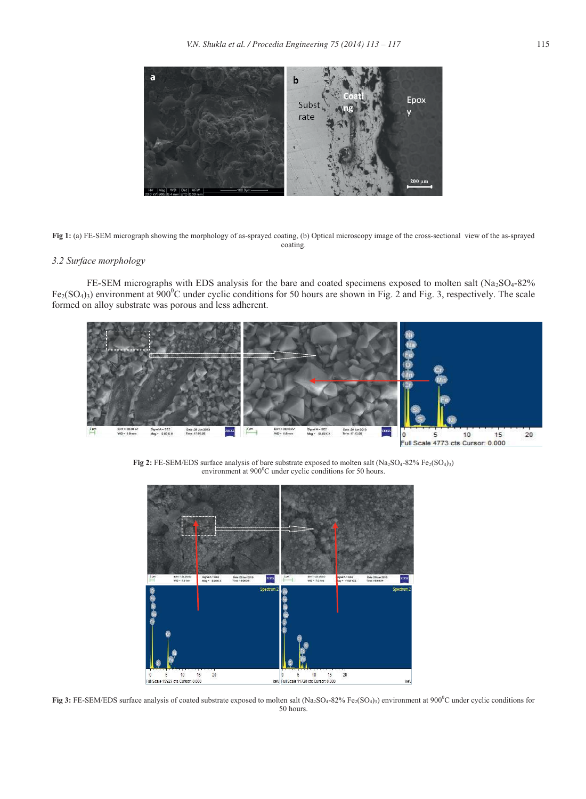

**Fig 1:** (a) FE-SEM micrograph showing the morphology of as-sprayed coating, (b) Optical microscopy image of the cross-sectional view of the as-sprayed coating.

## *3.2 Surface morphology*

FE-SEM micrographs with EDS analysis for the bare and coated specimens exposed to molten salt  $(Na_2SO_4-82\%$  $Fe<sub>2</sub>(SO<sub>4</sub>)$ ) environment at 900<sup>o</sup>C under cyclic conditions for 50 hours are shown in Fig. 2 and Fig. 3, respectively. The scale formed on alloy substrate was porous and less adherent.



Fig 2: FE-SEM/EDS surface analysis of bare substrate exposed to molten salt (Na<sub>2</sub>SO<sub>4</sub>-82% Fe<sub>2</sub>(SO<sub>4</sub>)<sub>3</sub>) environment at 900°C under cyclic conditions for 50 hours.



**Fig 3:** FE-SEM/EDS surface analysis of coated substrate exposed to molten salt (Na<sub>2</sub>SO<sub>4</sub>-82% Fe<sub>2</sub>(SO<sub>4</sub>)<sub>3</sub>) environment at 900<sup>0</sup>C under cyclic conditions for 50 hours.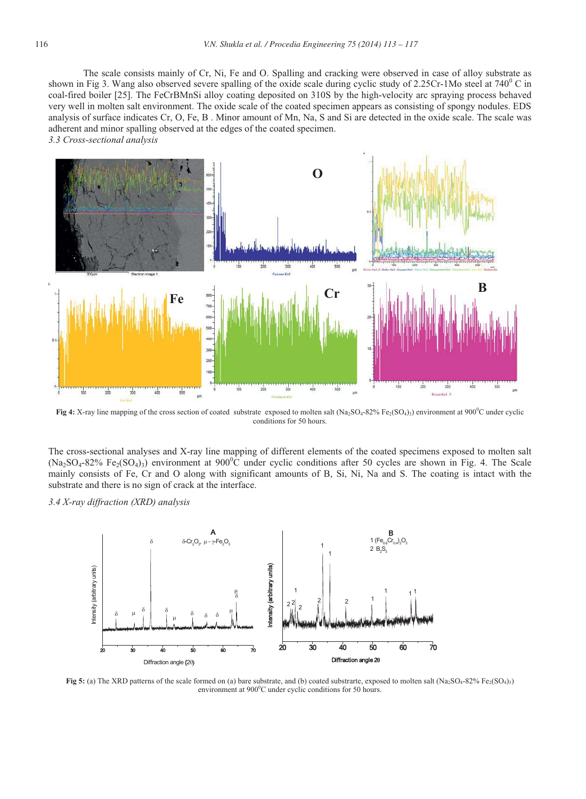The scale consists mainly of Cr, Ni, Fe and O. Spalling and cracking were observed in case of alloy substrate as shown in Fig 3. Wang also observed severe spalling of the oxide scale during cyclic study of 2.25Cr-1Mo steel at  $740^{\circ}$  C in coal-fired boiler [25]. The FeCrBMnSi alloy coating deposited on 310S by the high-velocity arc spraying process behaved very well in molten salt environment. The oxide scale of the coated specimen appears as consisting of spongy nodules. EDS analysis of surface indicates Cr, O, Fe, B . Minor amount of Mn, Na, S and Si are detected in the oxide scale. The scale was adherent and minor spalling observed at the edges of the coated specimen. *3.3 Cross-sectional analysis*



**Fig 4:** X-ray line mapping of the cross section of coated substrate exposed to molten salt (Na<sub>2</sub>SO<sub>4</sub>-82% Fe<sub>2</sub>(SO<sub>4</sub>)<sub>3</sub>) environment at 900<sup>°</sup>C under cyclic conditions for 50 hours.

The cross-sectional analyses and X-ray line mapping of different elements of the coated specimens exposed to molten salt  $(Na_2SO_4-82\%$  Fe<sub>2</sub>(SO<sub>4</sub>)<sub>3</sub>) environment at 900<sup>°</sup>C under cyclic conditions after 50 cycles are shown in Fig. 4. The Scale mainly consists of Fe, Cr and O along with significant amounts of B, Si, Ni, Na and S. The coating is intact with the substrate and there is no sign of crack at the interface.

*3.4 X-ray diffraction (XRD) analysis*



**Fig 5:** (a) The XRD patterns of the scale formed on (a) bare substrate, and (b) coated substrarte, exposed to molten salt (Na<sub>2</sub>SO<sub>4</sub>-82% Fe<sub>2</sub>(SO<sub>4</sub>)<sub>3</sub>) environment at  $900^{\circ}$ C under cyclic conditions for 50 hours.